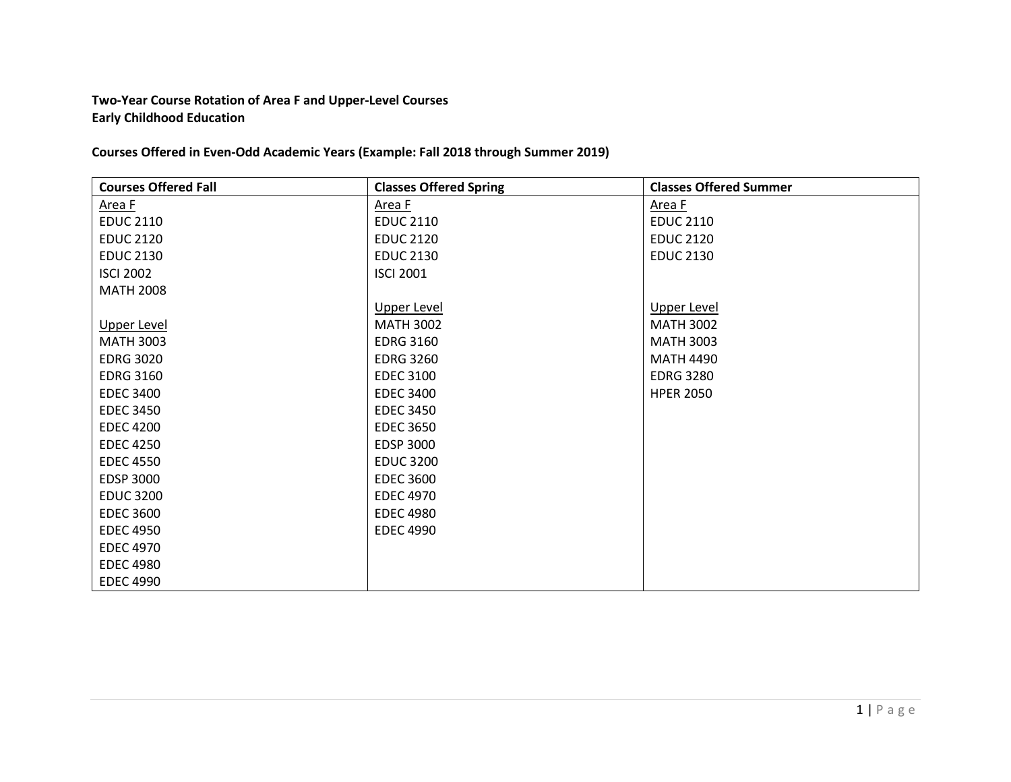## **Two-Year Course Rotation of Area F and Upper-Level Courses Early Childhood Education**

**Courses Offered in Even-Odd Academic Years (Example: Fall 2018 through Summer 2019)**

| <b>Courses Offered Fall</b> | <b>Classes Offered Spring</b> | <b>Classes Offered Summer</b> |
|-----------------------------|-------------------------------|-------------------------------|
| Area F                      | Area F                        | Area F                        |
| <b>EDUC 2110</b>            | <b>EDUC 2110</b>              | <b>EDUC 2110</b>              |
| <b>EDUC 2120</b>            | <b>EDUC 2120</b>              | <b>EDUC 2120</b>              |
| <b>EDUC 2130</b>            | <b>EDUC 2130</b>              | <b>EDUC 2130</b>              |
| <b>ISCI 2002</b>            | <b>ISCI 2001</b>              |                               |
| <b>MATH 2008</b>            |                               |                               |
|                             | <b>Upper Level</b>            | <b>Upper Level</b>            |
| Upper Level                 | <b>MATH 3002</b>              | <b>MATH 3002</b>              |
| <b>MATH 3003</b>            | <b>EDRG 3160</b>              | <b>MATH 3003</b>              |
| <b>EDRG 3020</b>            | <b>EDRG 3260</b>              | <b>MATH 4490</b>              |
| <b>EDRG 3160</b>            | <b>EDEC 3100</b>              | <b>EDRG 3280</b>              |
| <b>EDEC 3400</b>            | <b>EDEC 3400</b>              | <b>HPER 2050</b>              |
| <b>EDEC 3450</b>            | <b>EDEC 3450</b>              |                               |
| <b>EDEC 4200</b>            | <b>EDEC 3650</b>              |                               |
| <b>EDEC 4250</b>            | <b>EDSP 3000</b>              |                               |
| <b>EDEC 4550</b>            | <b>EDUC 3200</b>              |                               |
| <b>EDSP 3000</b>            | <b>EDEC 3600</b>              |                               |
| <b>EDUC 3200</b>            | <b>EDEC 4970</b>              |                               |
| <b>EDEC 3600</b>            | <b>EDEC 4980</b>              |                               |
| <b>EDEC 4950</b>            | <b>EDEC 4990</b>              |                               |
| <b>EDEC 4970</b>            |                               |                               |
| <b>EDEC 4980</b>            |                               |                               |
| <b>EDEC 4990</b>            |                               |                               |